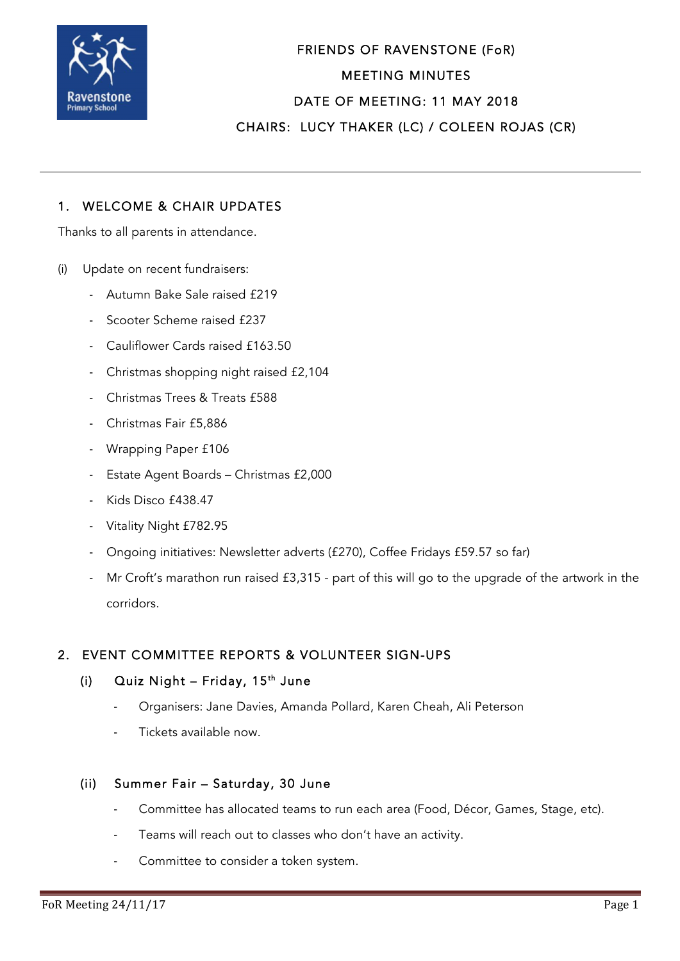

FRIENDS OF RAVENSTONE (FoR) MEETING MINUTES DATE OF MEETING: 11 MAY 2018 CHAIRS: LUCY THAKER (LC) / COLEEN ROJAS (CR)

## 1. WELCOME & CHAIR UPDATES

Thanks to all parents in attendance.

- (i) Update on recent fundraisers:
	- Autumn Bake Sale raised £219
	- Scooter Scheme raised £237
	- Cauliflower Cards raised £163.50
	- Christmas shopping night raised £2,104
	- Christmas Trees & Treats £588
	- Christmas Fair £5,886
	- Wrapping Paper £106
	- Estate Agent Boards Christmas £2,000
	- Kids Disco £438.47
	- Vitality Night £782.95
	- Ongoing initiatives: Newsletter adverts (£270), Coffee Fridays £59.57 so far)
	- Mr Croft's marathon run raised £3,315 part of this will go to the upgrade of the artwork in the corridors.

## 2. EVENT COMMITTEE REPORTS & VOLUNTEER SIGN-UPS

### (i) Quiz Night – Friday,  $15<sup>th</sup>$  June

- Organisers: Jane Davies, Amanda Pollard, Karen Cheah, Ali Peterson
- Tickets available now.

#### (ii) Summer Fair – Saturday, 30 June

- Committee has allocated teams to run each area (Food, Décor, Games, Stage, etc).
- Teams will reach out to classes who don't have an activity.
- Committee to consider a token system.